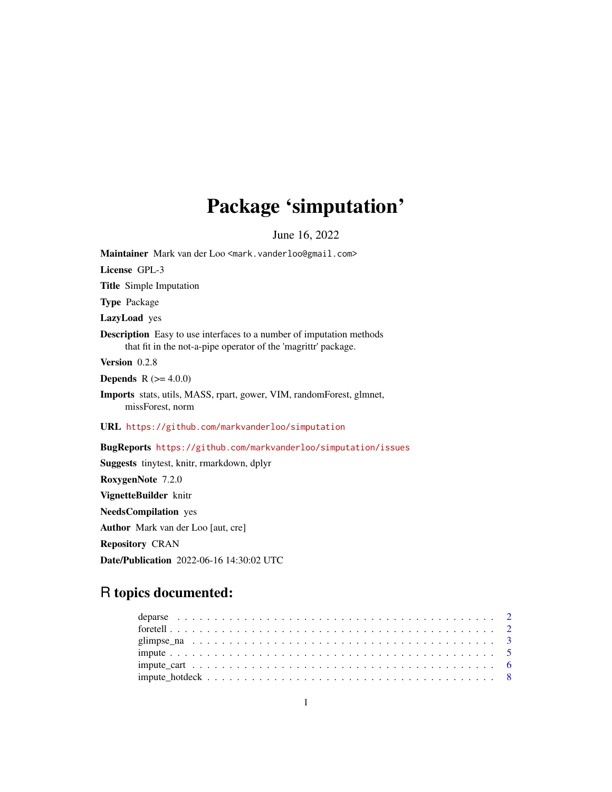# Package 'simputation'

June 16, 2022

<span id="page-0-0"></span>Maintainer Mark van der Loo <mark.vanderloo@gmail.com> License GPL-3 Title Simple Imputation Type Package LazyLoad yes Description Easy to use interfaces to a number of imputation methods that fit in the not-a-pipe operator of the 'magrittr' package. Version 0.2.8 **Depends** R  $(>= 4.0.0)$ Imports stats, utils, MASS, rpart, gower, VIM, randomForest, glmnet, missForest, norm URL <https://github.com/markvanderloo/simputation> BugReports <https://github.com/markvanderloo/simputation/issues> Suggests tinytest, knitr, rmarkdown, dplyr RoxygenNote 7.2.0 VignetteBuilder knitr NeedsCompilation yes

Author Mark van der Loo [aut, cre]

Repository CRAN

Date/Publication 2022-06-16 14:30:02 UTC

# R topics documented: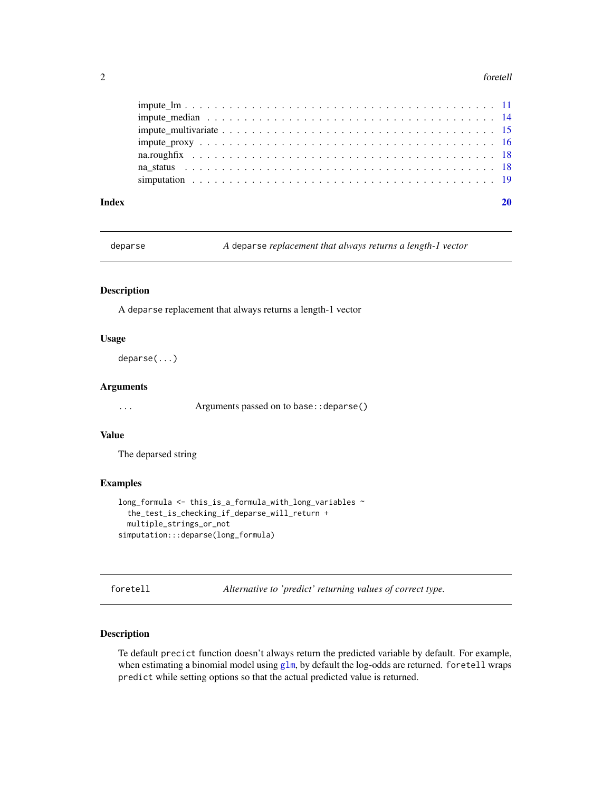#### <span id="page-1-0"></span>2 foretell

| Index |  |
|-------|--|
|       |  |
|       |  |
|       |  |
|       |  |
|       |  |
|       |  |
|       |  |

deparse *A* deparse *replacement that always returns a length-1 vector*

#### Description

A deparse replacement that always returns a length-1 vector

#### Usage

deparse(...)

# Arguments

... Arguments passed on to base::deparse()

#### Value

The deparsed string

# Examples

```
long_formula <- this_is_a_formula_with_long_variables ~
  the_test_is_checking_if_deparse_will_return +
  multiple_strings_or_not
simputation:::deparse(long_formula)
```
<span id="page-1-1"></span>foretell *Alternative to 'predict' returning values of correct type.*

#### Description

Te default precict function doesn't always return the predicted variable by default. For example, when estimating a binomial model using [glm](#page-0-0), by default the log-odds are returned. for etell wraps predict while setting options so that the actual predicted value is returned.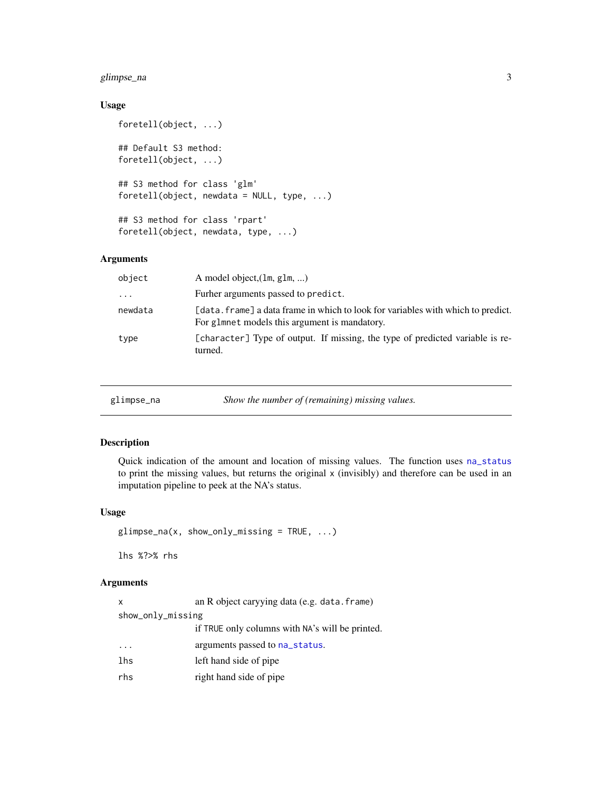# <span id="page-2-0"></span>glimpse\_na 3

# Usage

```
foretell(object, ...)
## Default S3 method:
foretell(object, ...)
## S3 method for class 'glm'
foretell(object, newdata = NULL, type, ...)## S3 method for class 'rpart'
foretell(object, newdata, type, ...)
```
# Arguments

| object    | A model object, $(\text{lm}, \text{glm}, )$                                                                                       |
|-----------|-----------------------------------------------------------------------------------------------------------------------------------|
| $\ddotsc$ | Furher arguments passed to predict.                                                                                               |
| newdata   | [data. frame] a data frame in which to look for variables with which to predict.<br>For glmnet models this argument is mandatory. |
| type      | [character] Type of output. If missing, the type of predicted variable is re-<br>turned.                                          |

<span id="page-2-1"></span>

| glimpse_na | Show the number of (remaining) missing values. |  |
|------------|------------------------------------------------|--|
|------------|------------------------------------------------|--|

### Description

Quick indication of the amount and location of missing values. The function uses [na\\_status](#page-17-1) to print the missing values, but returns the original x (invisibly) and therefore can be used in an imputation pipeline to peek at the NA's status.

### Usage

```
glimpse_na(x, show_only_missing = TRUE, ...)
```
lhs %?>% rhs

### Arguments

| x                 | an R object caryying data (e.g. data. frame)    |
|-------------------|-------------------------------------------------|
| show_only_missing |                                                 |
|                   | if TRUE only columns with NA's will be printed. |
| $\cdot$           | arguments passed to na_status.                  |
| lhs               | left hand side of pipe                          |
| rhs               | right hand side of pipe                         |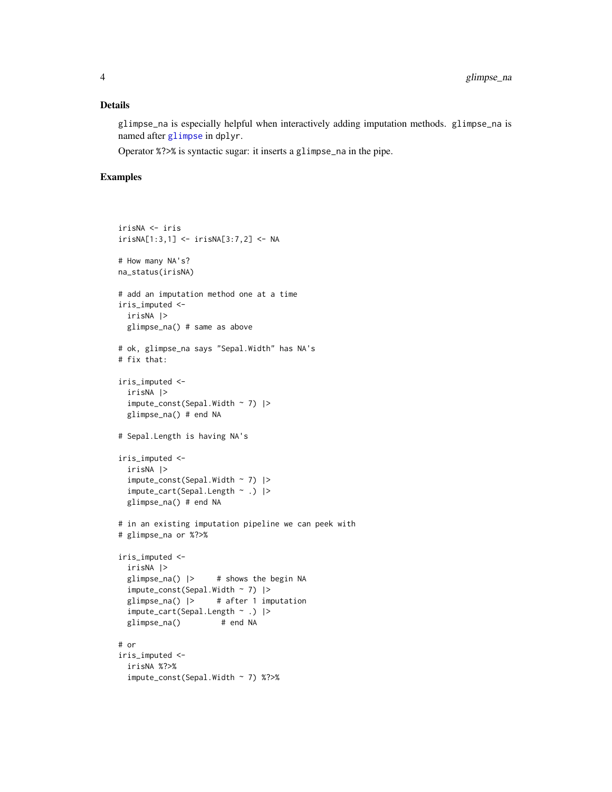#### <span id="page-3-0"></span>Details

glimpse\_na is especially helpful when interactively adding imputation methods. glimpse\_na is named after [glimpse](#page-0-0) in dplyr.

Operator %?>% is syntactic sugar: it inserts a glimpse\_na in the pipe.

### Examples

```
irisNA <- iris
irisNA[1:3,1] <- irisNA[3:7,2] <- NA
# How many NA's?
na_status(irisNA)
# add an imputation method one at a time
iris_imputed <-
  irisNA |>
  glimpse_na() # same as above
# ok, glimpse_na says "Sepal.Width" has NA's
# fix that:
iris_imputed <-
 irisNA |>
  impute\_const(Sepal.Width ~ 7) |>
  glimpse_na() # end NA
# Sepal.Length is having NA's
iris_imputed <-
  irisNA |>
  impute\_const(Sepal.Width ~ 7) |>
  impute_cart(Sepal.Length ~ .) |>
  glimpse_na() # end NA
# in an existing imputation pipeline we can peek with
# glimpse_na or %?>%
iris_imputed <-
  irisNA |>
  glimpse_na() |> # shows the begin NA
  impute_const(Sepal.Width ~ 7) |>
  glimpse_na() |> # after 1 imputation
  impute_cart(Sepal.Length ~ .) |>
  glimpse_na() # end NA
# or
iris_imputed <-
  irisNA %?>%
  impute_const(Sepal.Width ~ 7) %?>%
```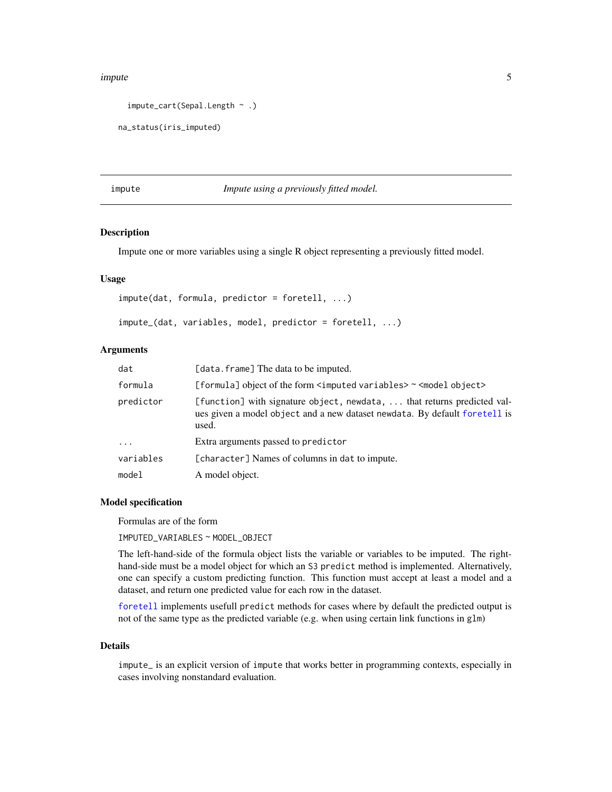#### <span id="page-4-0"></span>impute 55 and 55 and 55 and 55 and 55 and 55 and 55 and 55 and 55 and 55 and 55 and 55 and 55 and 55 and 55 and 55 and 55 and 55 and 55 and 55 and 55 and 55 and 55 and 55 and 55 and 55 and 55 and 55 and 55 and 55 and 55 an

```
impute_cart(Sepal.Length ~ .)
```

```
na_status(iris_imputed)
```
<span id="page-4-1"></span>impute *Impute using a previously fitted model.*

#### **Description**

Impute one or more variables using a single R object representing a previously fitted model.

#### Usage

```
impute(dat, formula, predictor = foretell, ...)
impute_(dat, variables, model, predictor = foretell, ...)
```
#### Arguments

| dat       | [data.frame] The data to be imputed.                                                                                                                             |
|-----------|------------------------------------------------------------------------------------------------------------------------------------------------------------------|
| formula   | [formula] object of the form <imputed variables=""> ~ <model object=""></model></imputed>                                                                        |
| predictor | [function] with signature object, newdata,  that returns predicted val-<br>ues given a model object and a new dataset new data. By default for etell is<br>used. |
| $\cdots$  | Extra arguments passed to predictor                                                                                                                              |
| variables | [character] Names of columns in dat to impute.                                                                                                                   |
| model     | A model object.                                                                                                                                                  |

### Model specification

Formulas are of the form

IMPUTED\_VARIABLES ~ MODEL\_OBJECT

The left-hand-side of the formula object lists the variable or variables to be imputed. The righthand-side must be a model object for which an S3 predict method is implemented. Alternatively, one can specify a custom predicting function. This function must accept at least a model and a dataset, and return one predicted value for each row in the dataset.

[foretell](#page-1-1) implements usefull predict methods for cases where by default the predicted output is not of the same type as the predicted variable (e.g. when using certain link functions in glm)

#### Details

impute\_ is an explicit version of impute that works better in programming contexts, especially in cases involving nonstandard evaluation.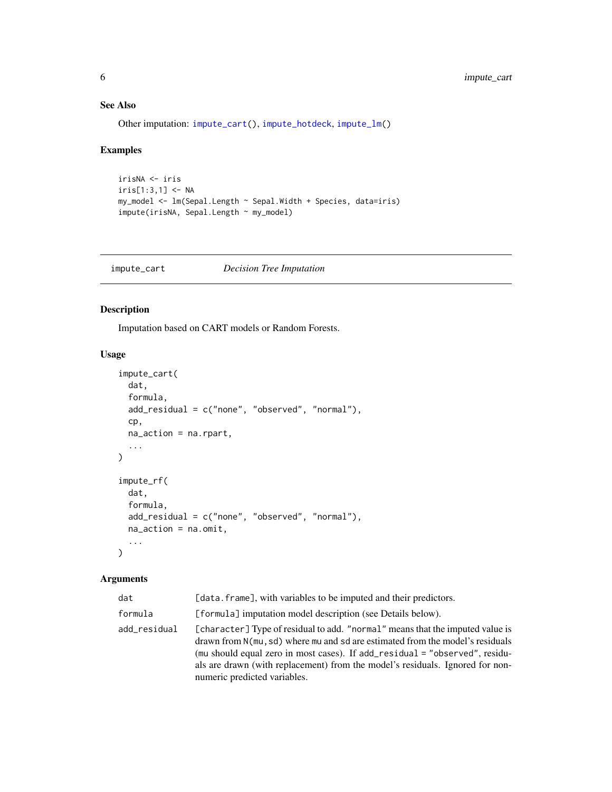# <span id="page-5-0"></span>See Also

Other imputation: [impute\\_cart\(](#page-5-1)), [impute\\_hotdeck](#page-7-1), [impute\\_lm\(](#page-10-1))

#### Examples

```
irisNA <- iris
iris[1:3,1] < -NAmy_model <- lm(Sepal.Length ~ Sepal.Width + Species, data=iris)
impute(irisNA, Sepal.Length ~ my_model)
```
<span id="page-5-1"></span>impute\_cart *Decision Tree Imputation*

#### Description

Imputation based on CART models or Random Forests.

#### Usage

```
impute_cart(
 dat,
  formula,
 add_residual = c("none", "observed", "normal"),
  cp,
 na_action = na.rpart,
  ...
\mathcal{L}impute_rf(
 dat,
  formula,
 add_residual = c("none", "observed", "normal"),
 na_action = na.omit,
  ...
\mathcal{L}
```
#### Arguments

| dat          | [data.frame], with variables to be imputed and their predictors.                                                                                                                                                                                                                                                                                               |
|--------------|----------------------------------------------------------------------------------------------------------------------------------------------------------------------------------------------------------------------------------------------------------------------------------------------------------------------------------------------------------------|
| formula      | [formula] imputation model description (see Details below).                                                                                                                                                                                                                                                                                                    |
| add_residual | [character] Type of residual to add. "normal" means that the imputed value is<br>drawn from N(mu, sd) where mu and sd are estimated from the model's residuals<br>(mu should equal zero in most cases). If add_residual = "observed", residu-<br>als are drawn (with replacement) from the model's residuals. Ignored for non-<br>numeric predicted variables. |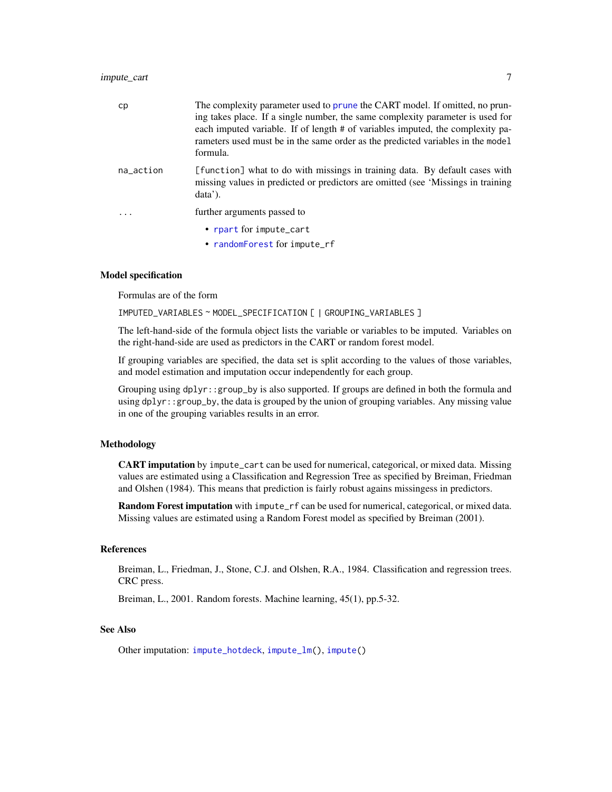#### <span id="page-6-0"></span>impute\_cart 7

| cp        | The complexity parameter used to prune the CART model. If omitted, no prun-<br>ing takes place. If a single number, the same complexity parameter is used for<br>each imputed variable. If of length # of variables imputed, the complexity pa-<br>rameters used must be in the same order as the predicted variables in the model<br>formula. |
|-----------|------------------------------------------------------------------------------------------------------------------------------------------------------------------------------------------------------------------------------------------------------------------------------------------------------------------------------------------------|
| na action | [function] what to do with missings in training data. By default cases with<br>missing values in predicted or predictors are omitted (see 'Missings in training<br>data'.                                                                                                                                                                      |
|           | further arguments passed to                                                                                                                                                                                                                                                                                                                    |
|           | • rpart for impute_cart<br>• randomForest for impute_rf                                                                                                                                                                                                                                                                                        |

#### Model specification

Formulas are of the form

IMPUTED\_VARIABLES ~ MODEL\_SPECIFICATION [ | GROUPING\_VARIABLES ]

The left-hand-side of the formula object lists the variable or variables to be imputed. Variables on the right-hand-side are used as predictors in the CART or random forest model.

If grouping variables are specified, the data set is split according to the values of those variables, and model estimation and imputation occur independently for each group.

Grouping using dplyr::group\_by is also supported. If groups are defined in both the formula and using dplyr::group\_by, the data is grouped by the union of grouping variables. Any missing value in one of the grouping variables results in an error.

# Methodology

CART imputation by impute\_cart can be used for numerical, categorical, or mixed data. Missing values are estimated using a Classification and Regression Tree as specified by Breiman, Friedman and Olshen (1984). This means that prediction is fairly robust agains missingess in predictors.

Random Forest imputation with impute\_rf can be used for numerical, categorical, or mixed data. Missing values are estimated using a Random Forest model as specified by Breiman (2001).

#### References

Breiman, L., Friedman, J., Stone, C.J. and Olshen, R.A., 1984. Classification and regression trees. CRC press.

Breiman, L., 2001. Random forests. Machine learning, 45(1), pp.5-32.

#### See Also

Other imputation: [impute\\_hotdeck](#page-7-1), [impute\\_lm\(](#page-10-1)), [impute\(](#page-4-1))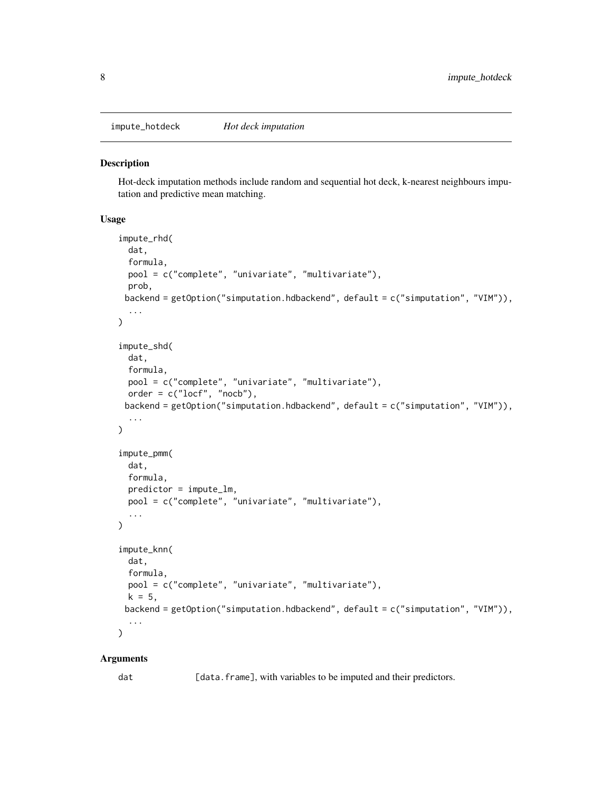<span id="page-7-1"></span><span id="page-7-0"></span>

#### **Description**

Hot-deck imputation methods include random and sequential hot deck, k-nearest neighbours imputation and predictive mean matching.

# Usage

```
impute_rhd(
 dat,
 formula,
 pool = c("complete", "univariate", "multivariate"),
 prob,
 backend = getOption("simputation.hdbackend", default = c("simputation", "VIM")),
  ...
)
impute_shd(
 dat,
  formula,
 pool = c("complete", "univariate", "multivariate"),
 order = c("locf", "nocb"),backend = getOption("simputation.hdbackend", default = c("simputation", "VIM")),
  ...
)
impute_pmm(
 dat,
  formula,
 predictor = impute_lm,
 pool = c("complete", "univariate", "multivariate"),
  ...
)
impute_knn(
  dat,
  formula,
 pool = c("complete", "univariate", "multivariate"),
 k = 5,backend = getOption("simputation.hdbackend", default = c("simputation", "VIM")),
  ...
\mathcal{L}
```
#### Arguments

dat [data.frame], with variables to be imputed and their predictors.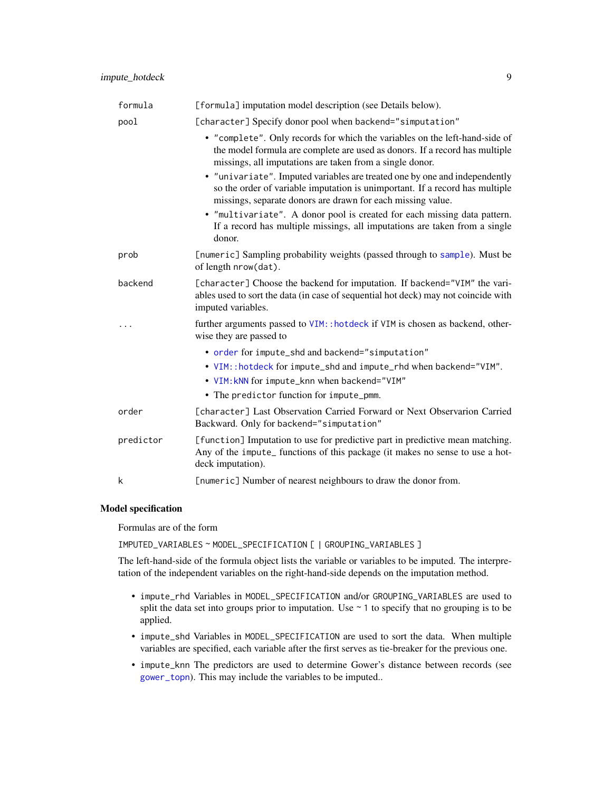<span id="page-8-0"></span>

| formula   | [formula] imputation model description (see Details below).                                                                                                                                                               |
|-----------|---------------------------------------------------------------------------------------------------------------------------------------------------------------------------------------------------------------------------|
| pool      | [character] Specify donor pool when backend="simputation"                                                                                                                                                                 |
|           | • "complete". Only records for which the variables on the left-hand-side of<br>the model formula are complete are used as donors. If a record has multiple<br>missings, all imputations are taken from a single donor.    |
|           | • "univariate". Imputed variables are treated one by one and independently<br>so the order of variable imputation is unimportant. If a record has multiple<br>missings, separate donors are drawn for each missing value. |
|           | • "multivariate". A donor pool is created for each missing data pattern.<br>If a record has multiple missings, all imputations are taken from a single<br>donor.                                                          |
| prob      | [numeric] Sampling probability weights (passed through to sample). Must be<br>of length nrow(dat).                                                                                                                        |
| backend   | [character] Choose the backend for imputation. If backend="VIM" the vari-<br>ables used to sort the data (in case of sequential hot deck) may not coincide with<br>imputed variables.                                     |
|           | further arguments passed to VIM: : hotdeck if VIM is chosen as backend, other-<br>wise they are passed to                                                                                                                 |
|           | • order for impute_shd and backend="simputation"                                                                                                                                                                          |
|           | • VIM:: hotdeck for impute_shd and impute_rhd when backend="VIM".                                                                                                                                                         |
|           | . VIM: kNN for impute_knn when backend="VIM"                                                                                                                                                                              |
|           | • The predictor function for impute_pmm.                                                                                                                                                                                  |
| order     | [character] Last Observation Carried Forward or Next Observarion Carried<br>Backward. Only for backend="simputation"                                                                                                      |
| predictor | [function] Imputation to use for predictive part in predictive mean matching.<br>Any of the impute_ functions of this package (it makes no sense to use a hot-<br>deck imputation).                                       |
| k         | [numeric] Number of nearest neighbours to draw the donor from.                                                                                                                                                            |

#### Model specification

Formulas are of the form

IMPUTED\_VARIABLES ~ MODEL\_SPECIFICATION [ | GROUPING\_VARIABLES ]

The left-hand-side of the formula object lists the variable or variables to be imputed. The interpretation of the independent variables on the right-hand-side depends on the imputation method.

- impute\_rhd Variables in MODEL\_SPECIFICATION and/or GROUPING\_VARIABLES are used to split the data set into groups prior to imputation. Use  $\sim$  1 to specify that no grouping is to be applied.
- impute\_shd Variables in MODEL\_SPECIFICATION are used to sort the data. When multiple variables are specified, each variable after the first serves as tie-breaker for the previous one.
- impute\_knn The predictors are used to determine Gower's distance between records (see [gower\\_topn](#page-0-0)). This may include the variables to be imputed..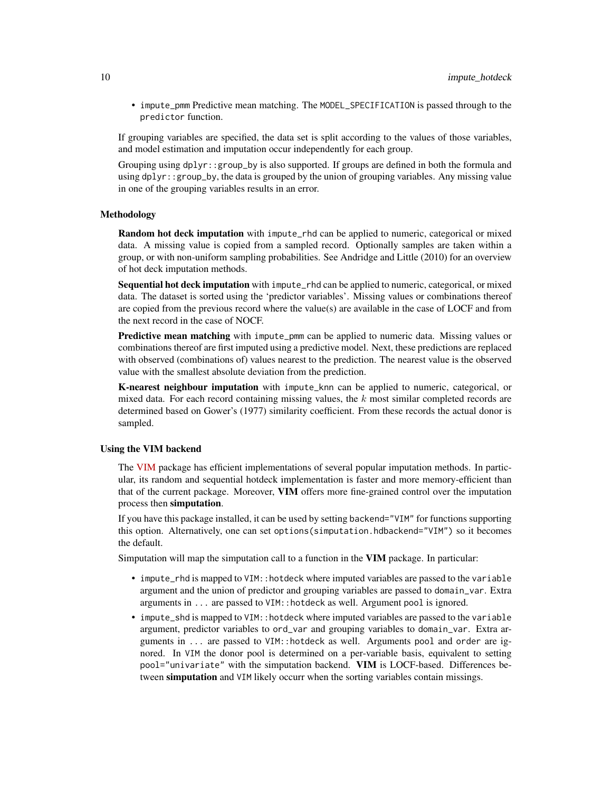• impute\_pmm Predictive mean matching. The MODEL\_SPECIFICATION is passed through to the predictor function.

If grouping variables are specified, the data set is split according to the values of those variables, and model estimation and imputation occur independently for each group.

Grouping using dplyr::group\_by is also supported. If groups are defined in both the formula and using  $d$ plyr::group\_by, the data is grouped by the union of grouping variables. Any missing value in one of the grouping variables results in an error.

#### Methodology

Random hot deck imputation with impute\_rhd can be applied to numeric, categorical or mixed data. A missing value is copied from a sampled record. Optionally samples are taken within a group, or with non-uniform sampling probabilities. See Andridge and Little (2010) for an overview of hot deck imputation methods.

Sequential hot deck imputation with impute\_rhd can be applied to numeric, categorical, or mixed data. The dataset is sorted using the 'predictor variables'. Missing values or combinations thereof are copied from the previous record where the value(s) are available in the case of LOCF and from the next record in the case of NOCF.

Predictive mean matching with impute\_pmm can be applied to numeric data. Missing values or combinations thereof are first imputed using a predictive model. Next, these predictions are replaced with observed (combinations of) values nearest to the prediction. The nearest value is the observed value with the smallest absolute deviation from the prediction.

K-nearest neighbour imputation with impute\_knn can be applied to numeric, categorical, or mixed data. For each record containing missing values, the  $k$  most similar completed records are determined based on Gower's (1977) similarity coefficient. From these records the actual donor is sampled.

#### Using the VIM backend

The [VIM](https://CRAN.R-project.org/package=VIM) package has efficient implementations of several popular imputation methods. In particular, its random and sequential hotdeck implementation is faster and more memory-efficient than that of the current package. Moreover, VIM offers more fine-grained control over the imputation process then simputation.

If you have this package installed, it can be used by setting backend="VIM" for functions supporting this option. Alternatively, one can set options(simputation.hdbackend="VIM") so it becomes the default.

Simputation will map the simputation call to a function in the VIM package. In particular:

- impute\_rhd is mapped to VIM::hotdeck where imputed variables are passed to the variable argument and the union of predictor and grouping variables are passed to domain\_var. Extra arguments in ... are passed to VIM::hotdeck as well. Argument pool is ignored.
- impute\_shd is mapped to VIM:: hotdeck where imputed variables are passed to the variable argument, predictor variables to ord\_var and grouping variables to domain\_var. Extra arguments in ... are passed to VIM::hotdeck as well. Arguments pool and order are ignored. In VIM the donor pool is determined on a per-variable basis, equivalent to setting pool="univariate" with the simputation backend. VIM is LOCF-based. Differences between simputation and VIM likely occurr when the sorting variables contain missings.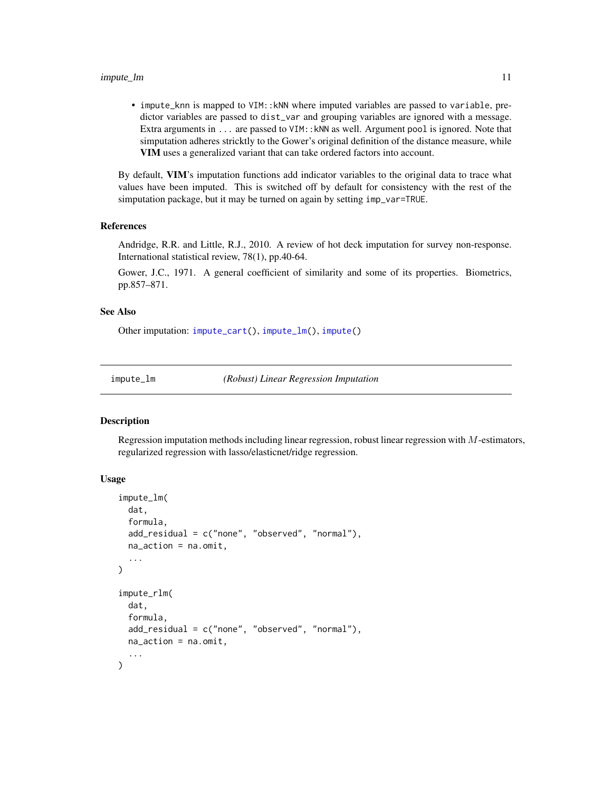#### <span id="page-10-0"></span>impute\_lm that is a set of the set of the set of the set of the set of the set of the set of the set of the set of the set of the set of the set of the set of the set of the set of the set of the set of the set of the set

• impute\_knn is mapped to VIM::kNN where imputed variables are passed to variable, predictor variables are passed to dist\_var and grouping variables are ignored with a message. Extra arguments in ... are passed to VIM:: kNN as well. Argument pool is ignored. Note that simputation adheres stricktly to the Gower's original definition of the distance measure, while VIM uses a generalized variant that can take ordered factors into account.

By default, VIM's imputation functions add indicator variables to the original data to trace what values have been imputed. This is switched off by default for consistency with the rest of the simputation package, but it may be turned on again by setting imp\_var=TRUE.

#### References

Andridge, R.R. and Little, R.J., 2010. A review of hot deck imputation for survey non-response. International statistical review, 78(1), pp.40-64.

Gower, J.C., 1971. A general coefficient of similarity and some of its properties. Biometrics, pp.857–871.

#### See Also

Other imputation: [impute\\_cart\(](#page-5-1)), [impute\\_lm\(](#page-10-1)), [impute\(](#page-4-1))

<span id="page-10-1"></span>impute\_lm *(Robust) Linear Regression Imputation*

#### Description

Regression imputation methods including linear regression, robust linear regression with M-estimators, regularized regression with lasso/elasticnet/ridge regression.

#### Usage

```
impute_lm(
  dat,
  formula,
  add_residual = c("none", "observed", "normal"),
  na_action = na.omit,
  ...
)
impute_rlm(
  dat,
  formula,
  add_residual = c("none", "observed", "normal"),
  na<sub>-</sub>action = na.omit....
)
```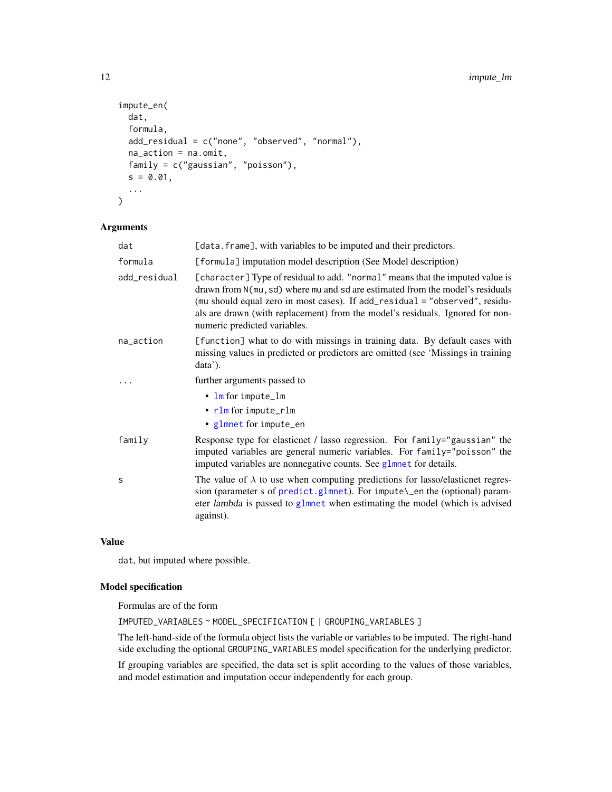```
impute_en(
  dat,
  formula,
 add_residual = c("none", "observed", "normal"),
 na_action = na.omit,
 family = c("gaussian", "poisson"),
 s = 0.01,
  ...
)
```
#### Arguments

| dat          | [data.frame], with variables to be imputed and their predictors.                                                                                                                                                                                                                                                                                               |
|--------------|----------------------------------------------------------------------------------------------------------------------------------------------------------------------------------------------------------------------------------------------------------------------------------------------------------------------------------------------------------------|
| formula      | [formula] imputation model description (See Model description)                                                                                                                                                                                                                                                                                                 |
| add_residual | [character] Type of residual to add. "normal" means that the imputed value is<br>drawn from N(mu, sd) where mu and sd are estimated from the model's residuals<br>(mu should equal zero in most cases). If add_residual = "observed", residu-<br>als are drawn (with replacement) from the model's residuals. Ignored for non-<br>numeric predicted variables. |
| na_action    | [function] what to do with missings in training data. By default cases with<br>missing values in predicted or predictors are omitted (see 'Missings in training<br>data'.                                                                                                                                                                                      |
|              | further arguments passed to                                                                                                                                                                                                                                                                                                                                    |
|              | $\cdot$ lm for impute_lm<br>• rlm for impute_rlm<br>• glmnet for impute_en                                                                                                                                                                                                                                                                                     |
| family       | Response type for elasticnet / lasso regression. For family="gaussian" the<br>imputed variables are general numeric variables. For family="poisson" the<br>imputed variables are nonnegative counts. See glmnet for details.                                                                                                                                   |
| S            | The value of $\lambda$ to use when computing predictions for lasso/elasticnet regres-<br>sion (parameter s of predict.glmnet). For impute\_en the (optional) param-<br>eter lambda is passed to glmnet when estimating the model (which is advised<br>against).                                                                                                |

#### Value

dat, but imputed where possible.

# Model specification

Formulas are of the form

IMPUTED\_VARIABLES ~ MODEL\_SPECIFICATION [ | GROUPING\_VARIABLES ]

The left-hand-side of the formula object lists the variable or variables to be imputed. The right-hand side excluding the optional GROUPING\_VARIABLES model specification for the underlying predictor.

If grouping variables are specified, the data set is split according to the values of those variables, and model estimation and imputation occur independently for each group.

<span id="page-11-0"></span>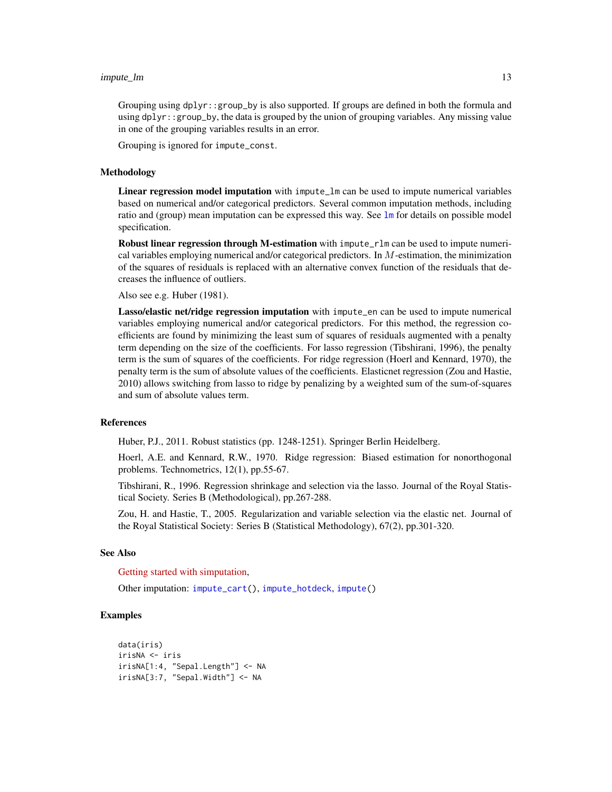#### <span id="page-12-0"></span>impute\_lm that is a set of the set of the set of the set of the set of the set of the set of the set of the set of the set of the set of the set of the set of the set of the set of the set of the set of the set of the set

Grouping using dplyr::group\_by is also supported. If groups are defined in both the formula and using  $d$ plyr:: group\_by, the data is grouped by the union of grouping variables. Any missing value in one of the grouping variables results in an error.

Grouping is ignored for impute\_const.

#### Methodology

Linear regression model imputation with impute\_lm can be used to impute numerical variables based on numerical and/or categorical predictors. Several common imputation methods, including ratio and (group) mean imputation can be expressed this way. See 1m for details on possible model specification.

Robust linear regression through M-estimation with impute\_rlm can be used to impute numerical variables employing numerical and/or categorical predictors. In  $M$ -estimation, the minimization of the squares of residuals is replaced with an alternative convex function of the residuals that decreases the influence of outliers.

Also see e.g. Huber (1981).

Lasso/elastic net/ridge regression imputation with impute\_en can be used to impute numerical variables employing numerical and/or categorical predictors. For this method, the regression coefficients are found by minimizing the least sum of squares of residuals augmented with a penalty term depending on the size of the coefficients. For lasso regression (Tibshirani, 1996), the penalty term is the sum of squares of the coefficients. For ridge regression (Hoerl and Kennard, 1970), the penalty term is the sum of absolute values of the coefficients. Elasticnet regression (Zou and Hastie, 2010) allows switching from lasso to ridge by penalizing by a weighted sum of the sum-of-squares and sum of absolute values term.

#### References

Huber, P.J., 2011. Robust statistics (pp. 1248-1251). Springer Berlin Heidelberg.

Hoerl, A.E. and Kennard, R.W., 1970. Ridge regression: Biased estimation for nonorthogonal problems. Technometrics, 12(1), pp.55-67.

Tibshirani, R., 1996. Regression shrinkage and selection via the lasso. Journal of the Royal Statistical Society. Series B (Methodological), pp.267-288.

Zou, H. and Hastie, T., 2005. Regularization and variable selection via the elastic net. Journal of the Royal Statistical Society: Series B (Statistical Methodology), 67(2), pp.301-320.

#### See Also

[Getting started with simputation,](../doc/intro.html)

Other imputation: [impute\\_cart\(](#page-5-1)), [impute\\_hotdeck](#page-7-1), [impute\(](#page-4-1))

#### Examples

```
data(iris)
irisNA <- iris
irisNA[1:4, "Sepal.Length"] <- NA
irisNA[3:7, "Sepal.Width"] <- NA
```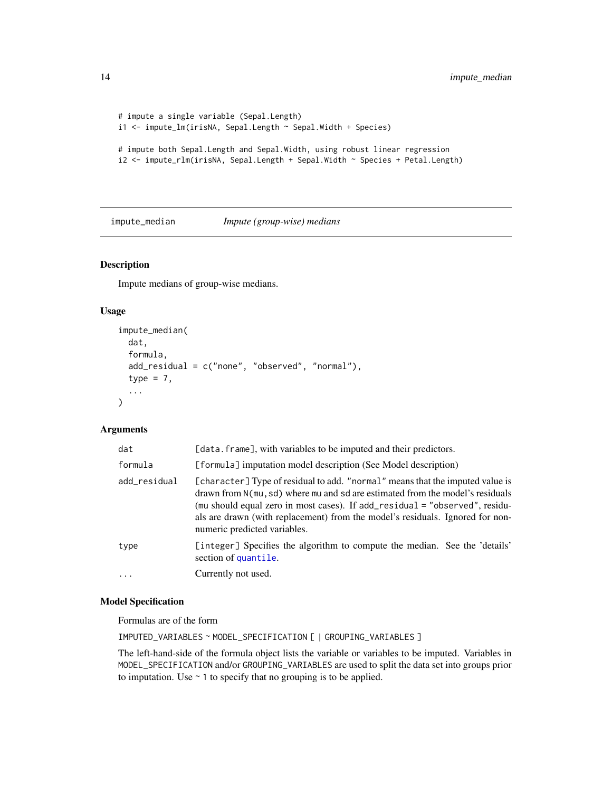```
# impute a single variable (Sepal.Length)
i1 <- impute_lm(irisNA, Sepal.Length ~ Sepal.Width + Species)
# impute both Sepal.Length and Sepal.Width, using robust linear regression
i2 <- impute_rlm(irisNA, Sepal.Length + Sepal.Width ~ Species + Petal.Length)
```
impute\_median *Impute (group-wise) medians*

### Description

Impute medians of group-wise medians.

#### Usage

```
impute_median(
  dat,
  formula,
  add_residual = c("none", "observed", "normal"),
  type = 7,...
\mathcal{L}
```
# Arguments

| dat          | [data.frame], with variables to be imputed and their predictors.                                                                                                                                                                                                                                                                                               |
|--------------|----------------------------------------------------------------------------------------------------------------------------------------------------------------------------------------------------------------------------------------------------------------------------------------------------------------------------------------------------------------|
| formula      | [formula] imputation model description (See Model description)                                                                                                                                                                                                                                                                                                 |
| add_residual | [character] Type of residual to add. "normal" means that the imputed value is<br>drawn from N(mu, sd) where mu and sd are estimated from the model's residuals<br>(mu should equal zero in most cases). If add_residual = "observed", residu-<br>als are drawn (with replacement) from the model's residuals. Ignored for non-<br>numeric predicted variables. |
| type         | [integer] Specifies the algorithm to compute the median. See the 'details'<br>section of quantile.                                                                                                                                                                                                                                                             |
| $\ddotsc$    | Currently not used.                                                                                                                                                                                                                                                                                                                                            |

#### Model Specification

Formulas are of the form

IMPUTED\_VARIABLES ~ MODEL\_SPECIFICATION [ | GROUPING\_VARIABLES ]

The left-hand-side of the formula object lists the variable or variables to be imputed. Variables in MODEL\_SPECIFICATION and/or GROUPING\_VARIABLES are used to split the data set into groups prior to imputation. Use  $\sim$  1 to specify that no grouping is to be applied.

<span id="page-13-0"></span>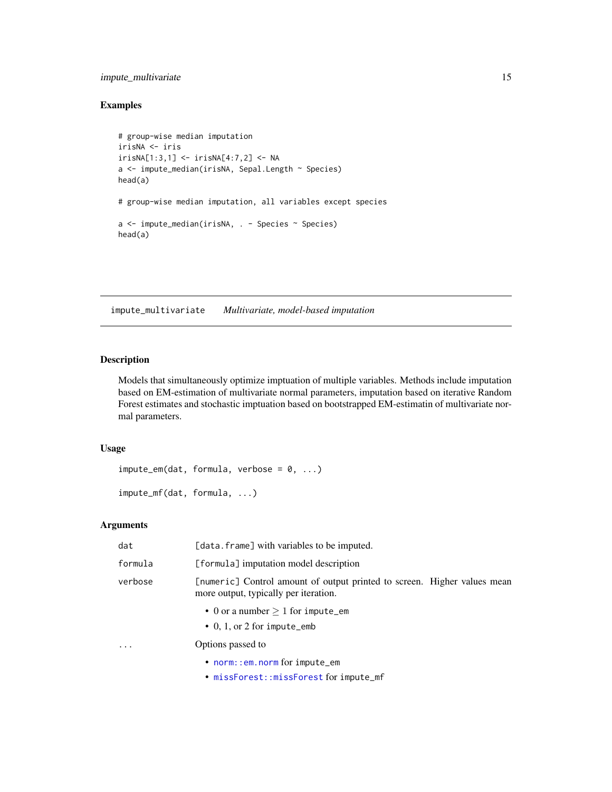### <span id="page-14-0"></span>impute\_multivariate 15

# Examples

```
# group-wise median imputation
irisNA <- iris
irisNA[1:3,1] <- irisNA[4:7,2] <- NA
a <- impute_median(irisNA, Sepal.Length ~ Species)
head(a)
# group-wise median imputation, all variables except species
a <- impute_median(irisNA, . - Species ~ Species)
head(a)
```
impute\_multivariate *Multivariate, model-based imputation*

#### Description

Models that simultaneously optimize imptuation of multiple variables. Methods include imputation based on EM-estimation of multivariate normal parameters, imputation based on iterative Random Forest estimates and stochastic imptuation based on bootstrapped EM-estimatin of multivariate normal parameters.

#### Usage

 $impute_em(data, formula, verbose = 0, ...)$ 

impute\_mf(dat, formula, ...)

### Arguments

| dat     | [data.frame] with variables to be imputed.                                                                        |
|---------|-------------------------------------------------------------------------------------------------------------------|
| formula | [formula] imputation model description                                                                            |
| verbose | [numeric] Control amount of output printed to screen. Higher values mean<br>more output, typically per iteration. |
|         | • 0 or a number $> 1$ for impute_em<br>$\bullet$ 0, 1, or 2 for impute_emb                                        |
| $\cdot$ | Options passed to                                                                                                 |
|         | $\bullet$ norm:: em. norm for impute_em                                                                           |
|         | • missForest::missForest for impute_mf                                                                            |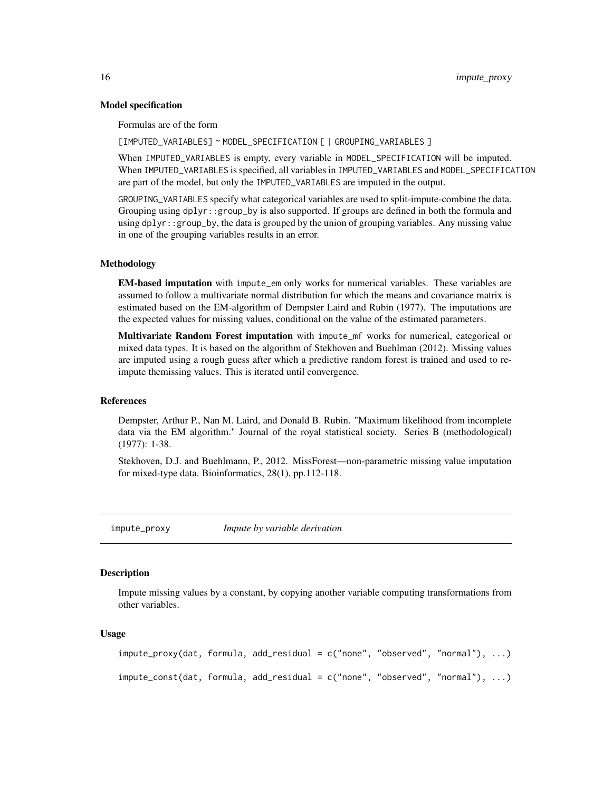#### Model specification

Formulas are of the form

[IMPUTED\_VARIABLES] ~ MODEL\_SPECIFICATION [ | GROUPING\_VARIABLES ]

When IMPUTED\_VARIABLES is empty, every variable in MODEL\_SPECIFICATION will be imputed. When IMPUTED\_VARIABLES is specified, all variables in IMPUTED\_VARIABLES and MODEL\_SPECIFICATION are part of the model, but only the IMPUTED\_VARIABLES are imputed in the output.

GROUPING\_VARIABLES specify what categorical variables are used to split-impute-combine the data. Grouping using dplyr::group\_by is also supported. If groups are defined in both the formula and using dplyr::group\_by, the data is grouped by the union of grouping variables. Any missing value in one of the grouping variables results in an error.

#### Methodology

EM-based imputation with impute\_em only works for numerical variables. These variables are assumed to follow a multivariate normal distribution for which the means and covariance matrix is estimated based on the EM-algorithm of Dempster Laird and Rubin (1977). The imputations are the expected values for missing values, conditional on the value of the estimated parameters.

Multivariate Random Forest imputation with impute\_mf works for numerical, categorical or mixed data types. It is based on the algorithm of Stekhoven and Buehlman (2012). Missing values are imputed using a rough guess after which a predictive random forest is trained and used to reimpute themissing values. This is iterated until convergence.

#### References

Dempster, Arthur P., Nan M. Laird, and Donald B. Rubin. "Maximum likelihood from incomplete data via the EM algorithm." Journal of the royal statistical society. Series B (methodological) (1977): 1-38.

Stekhoven, D.J. and Buehlmann, P., 2012. MissForest—non-parametric missing value imputation for mixed-type data. Bioinformatics, 28(1), pp.112-118.

impute\_proxy *Impute by variable derivation*

#### Description

Impute missing values by a constant, by copying another variable computing transformations from other variables.

#### Usage

```
impute_proxy(dat, formula, add_residual = c("none", "observed", "normal"), ...)
impute_const(dat, formula, add_residual = c("none", "observed", "normal"), ...)
```
<span id="page-15-0"></span>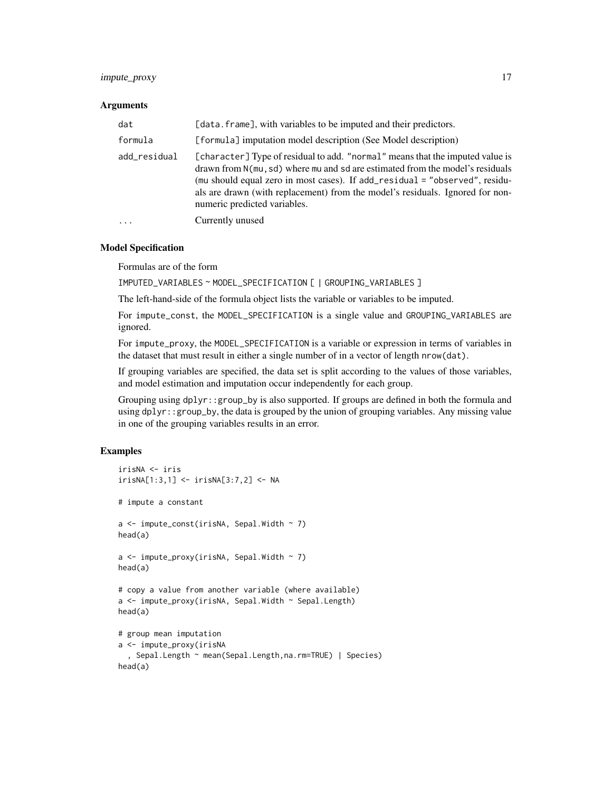### impute\_proxy 17

#### **Arguments**

| dat          | [data.frame], with variables to be imputed and their predictors.                                                                                                                                                                                                                                                                                               |
|--------------|----------------------------------------------------------------------------------------------------------------------------------------------------------------------------------------------------------------------------------------------------------------------------------------------------------------------------------------------------------------|
| formula      | [formula] imputation model description (See Model description)                                                                                                                                                                                                                                                                                                 |
| add_residual | [character] Type of residual to add. "normal" means that the imputed value is<br>drawn from N(mu, sd) where mu and sd are estimated from the model's residuals<br>(mu should equal zero in most cases). If add_residual = "observed", residu-<br>als are drawn (with replacement) from the model's residuals. Ignored for non-<br>numeric predicted variables. |
| $\cdots$     | Currently unused                                                                                                                                                                                                                                                                                                                                               |

#### Model Specification

Formulas are of the form

IMPUTED\_VARIABLES ~ MODEL\_SPECIFICATION [ | GROUPING\_VARIABLES ]

The left-hand-side of the formula object lists the variable or variables to be imputed.

For impute\_const, the MODEL\_SPECIFICATION is a single value and GROUPING\_VARIABLES are ignored.

For impute\_proxy, the MODEL\_SPECIFICATION is a variable or expression in terms of variables in the dataset that must result in either a single number of in a vector of length nrow(dat).

If grouping variables are specified, the data set is split according to the values of those variables, and model estimation and imputation occur independently for each group.

Grouping using dplyr::group\_by is also supported. If groups are defined in both the formula and using  $d$ plyr::group\_by, the data is grouped by the union of grouping variables. Any missing value in one of the grouping variables results in an error.

#### Examples

```
irisNA <- iris
irisNA[1:3,1] <- irisNA[3:7,2] <- NA
# impute a constant
a \leq impute_const(irisNA, Sepal.Width \sim 7)
head(a)
a \leftarrow impute_proxy(irisNA, Sepal.Width ~ 7)
head(a)
# copy a value from another variable (where available)
a <- impute_proxy(irisNA, Sepal.Width ~ Sepal.Length)
head(a)
# group mean imputation
a <- impute_proxy(irisNA
  , Sepal.Length ~ mean(Sepal.Length,na.rm=TRUE) | Species)
head(a)
```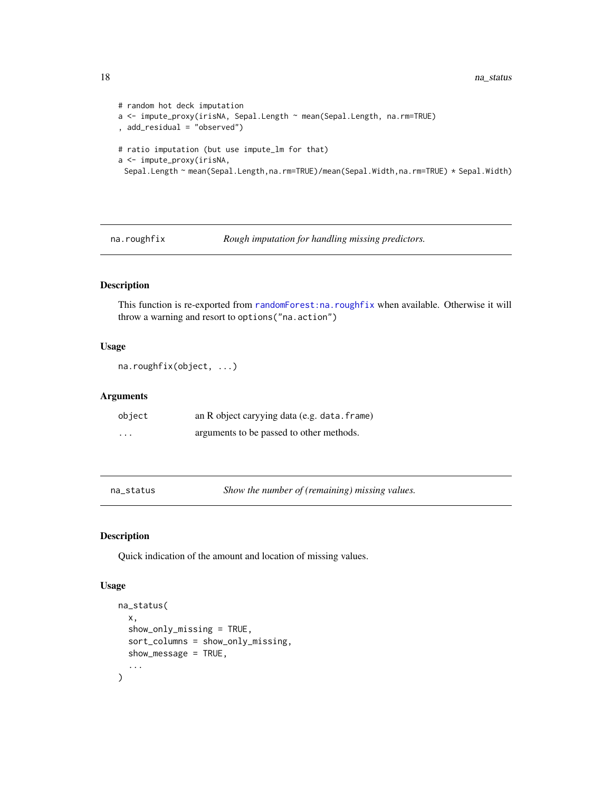```
# random hot deck imputation
a <- impute_proxy(irisNA, Sepal.Length ~ mean(Sepal.Length, na.rm=TRUE)
, add_residual = "observed")
# ratio imputation (but use impute_lm for that)
a <- impute_proxy(irisNA,
 Sepal.Length ~ mean(Sepal.Length,na.rm=TRUE)/mean(Sepal.Width,na.rm=TRUE) * Sepal.Width)
```
na.roughfix *Rough imputation for handling missing predictors.*

### Description

This function is re-exported from [randomForest:na.roughfix](#page-0-0) when available. Otherwise it will throw a warning and resort to options("na.action")

#### Usage

```
na.roughfix(object, ...)
```
#### Arguments

| object                  | an R object caryying data (e.g. data. frame) |
|-------------------------|----------------------------------------------|
| $\cdot$ $\cdot$ $\cdot$ | arguments to be passed to other methods.     |

<span id="page-17-1"></span>na\_status *Show the number of (remaining) missing values.*

#### Description

Quick indication of the amount and location of missing values.

#### Usage

```
na_status(
  x,
  show_only_missing = TRUE,
  sort_columns = show_only_missing,
  show_message = TRUE,
  ...
\mathcal{E}
```
<span id="page-17-0"></span>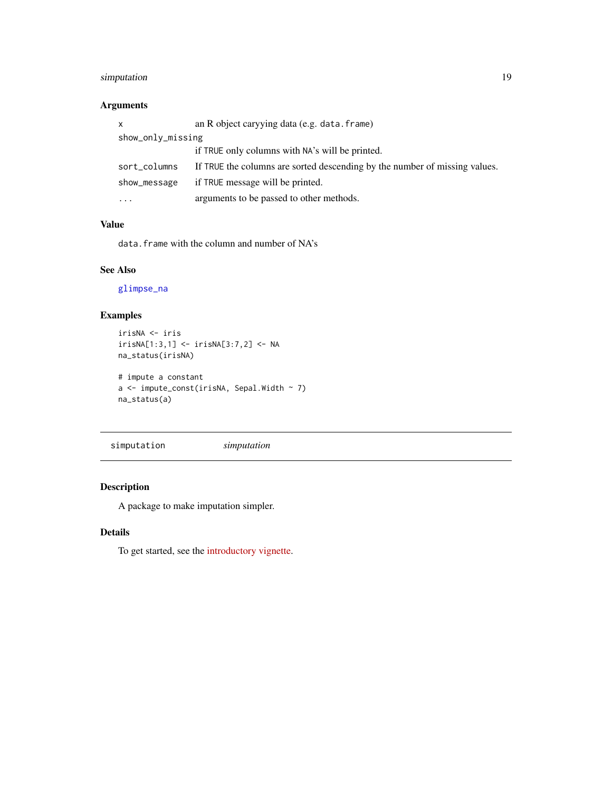# <span id="page-18-0"></span>simputation 19

# Arguments

| x                 | an R object caryying data (e.g. data. frame)                               |  |
|-------------------|----------------------------------------------------------------------------|--|
| show_only_missing |                                                                            |  |
|                   | if TRUE only columns with NA's will be printed.                            |  |
| sort_columns      | If TRUE the columns are sorted descending by the number of missing values. |  |
| show_message      | if TRUE message will be printed.                                           |  |
| $\cdots$          | arguments to be passed to other methods.                                   |  |

#### Value

data.frame with the column and number of NA's

# See Also

[glimpse\\_na](#page-2-1)

# Examples

```
irisNA <- iris
irisNA[1:3,1] <- irisNA[3:7,2] <- NA
na_status(irisNA)
# impute a constant
a <- impute_const(irisNA, Sepal.Width ~ 7)
na_status(a)
```
simputation *simputation*

# Description

A package to make imputation simpler.

# Details

To get started, see the [introductory vignette.](../doc/intro.html)